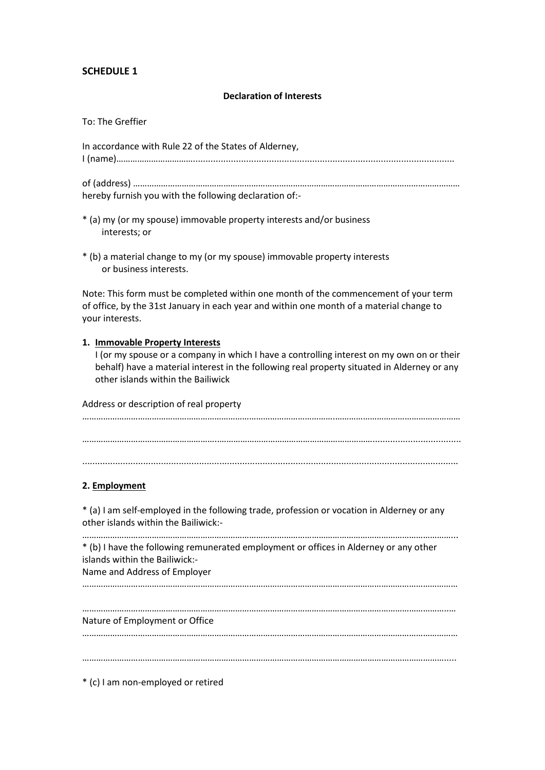# **SCHEDULE 1**

#### **Declaration of Interests**

To: The Greffier

In accordance with Rule 22 of the States of Alderney, I (name)…………………………….......................................................................................................

of (address) …………………………………………………………………………………………………………………………… hereby furnish you with the following declaration of:-

- \* (a) my (or my spouse) immovable property interests and/or business interests; or
- \* (b) a material change to my (or my spouse) immovable property interests or business interests.

Note: This form must be completed within one month of the commencement of your term of office, by the 31st January in each year and within one month of a material change to your interests.

### **1. Immovable Property Interests**

I (or my spouse or a company in which I have a controlling interest on my own on or their behalf) have a material interest in the following real property situated in Alderney or any other islands within the Bailiwick

Address or description of real property

……………………………………………………………………………………………….……………………………………………… …………………………………………………..…………………………………………………………................................... ....................................................................................................................................................

### **2. Employment**

\* (a) I am self-employed in the following trade, profession or vocation in Alderney or any other islands within the Bailiwick:-

……………………………………………………………………………………………………………………………………………... \* (b) I have the following remunerated employment or offices in Alderney or any other islands within the Bailiwick:- Name and Address of Employer

………………………………………………………………………………………………………………………………………………

…………………………………………………………………………………………………………………………………………..… Nature of Employment or Office

………………………………………………………………………………………………………………………………………………

………………………………………………………………………………………………………………………………………….....

\* (c) I am non-employed or retired